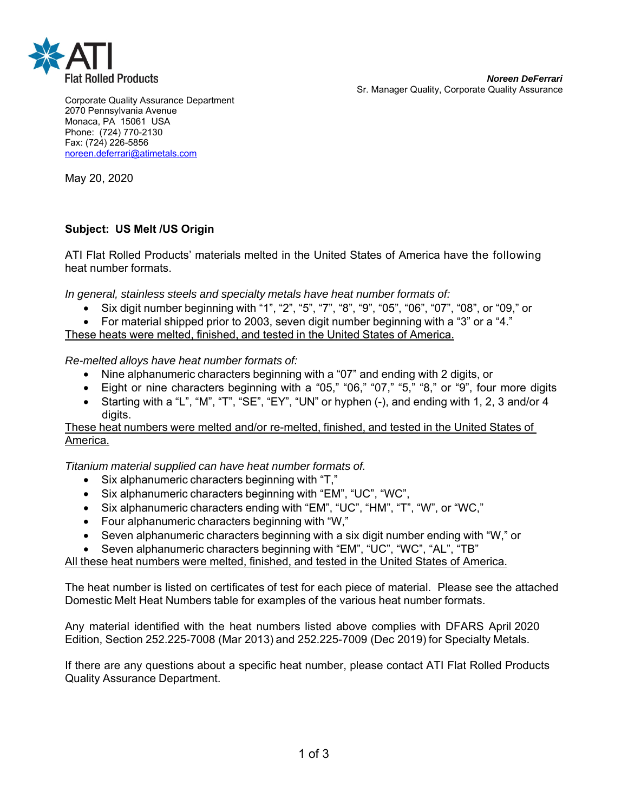

Corporate Quality Assurance Department 2070 Pennsylvania Avenue Monaca, PA 15061 USA Phone: (724) 770-2130 Fax: (724) 226-5856 noreen.deferrari@atimetals.com

May 20, 2020

## **Subject: US Melt /US Origin**

ATI Flat Rolled Products' materials melted in the United States of America have the following heat number formats.

*In general, stainless steels and specialty metals have heat number formats of:* 

- Six digit number beginning with "1", "2", "5", "7", "8", "9", "05", "06", "07", "08", or "09," or
- For material shipped prior to 2003, seven digit number beginning with a "3" or a "4."

These heats were melted, finished, and tested in the United States of America.

*Re-melted alloys have heat number formats of:* 

- Nine alphanumeric characters beginning with a "07" and ending with 2 digits, or
- Eight or nine characters beginning with a "05," "06," "07," "5," "8," or "9", four more digits
- Starting with a "L", "M", "T", "SE", "EY", "UN" or hyphen (-), and ending with 1, 2, 3 and/or 4 digits.

These heat numbers were melted and/or re-melted, finished, and tested in the United States of America.

*Titanium material supplied can have heat number formats of.* 

- Six alphanumeric characters beginning with "T,"
- Six alphanumeric characters beginning with "EM", "UC", "WC",
- Six alphanumeric characters ending with "EM", "UC", "HM", "T", "W", or "WC,"
- Four alphanumeric characters beginning with "W,"
- Seven alphanumeric characters beginning with a six digit number ending with "W," or
- Seven alphanumeric characters beginning with "EM", "UC", "WC", "AL", "TB"

All these heat numbers were melted, finished, and tested in the United States of America.

The heat number is listed on certificates of test for each piece of material. Please see the attached Domestic Melt Heat Numbers table for examples of the various heat number formats.

Any material identified with the heat numbers listed above complies with DFARS April 2020 Edition, Section 252.225-7008 (Mar 2013) and 252.225-7009 (Dec 2019) for Specialty Metals.

If there are any questions about a specific heat number, please contact ATI Flat Rolled Products Quality Assurance Department.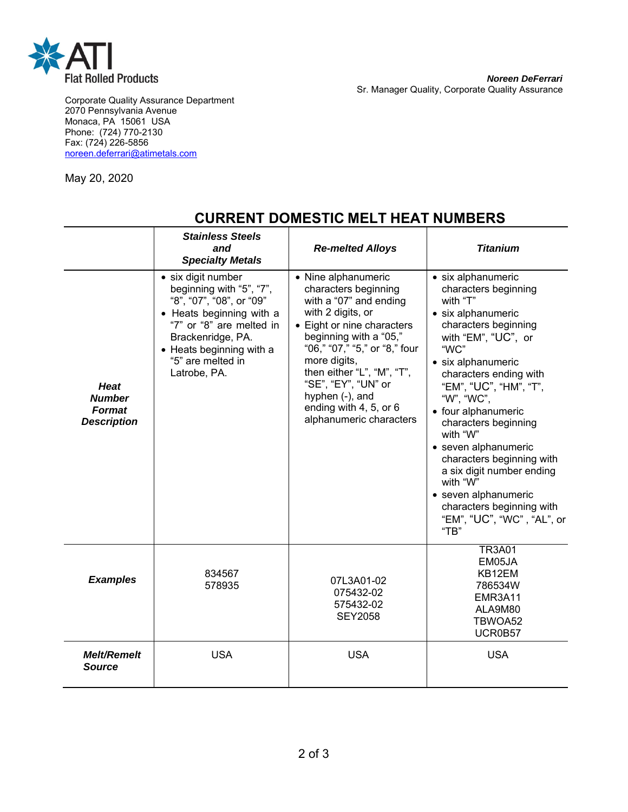

Corporate Quality Assurance Department 2070 Pennsylvania Avenue Monaca, PA 15061 USA Phone: (724) 770-2130 Fax: (724) 226-5856 noreen.deferrari@atimetals.com

May 20, 2020

|                                                              | <b>Stainless Steels</b><br>and<br><b>Specialty Metals</b>                                                                                                                                                                | <b>Re-melted Alloys</b>                                                                                                                                                                                                                                                                                                          | <b>Titanium</b>                                                                                                                                                                                                                                                                                                                                                                                                                                                                 |
|--------------------------------------------------------------|--------------------------------------------------------------------------------------------------------------------------------------------------------------------------------------------------------------------------|----------------------------------------------------------------------------------------------------------------------------------------------------------------------------------------------------------------------------------------------------------------------------------------------------------------------------------|---------------------------------------------------------------------------------------------------------------------------------------------------------------------------------------------------------------------------------------------------------------------------------------------------------------------------------------------------------------------------------------------------------------------------------------------------------------------------------|
| <b>Heat</b><br><b>Number</b><br>Format<br><b>Description</b> | · six digit number<br>beginning with "5", "7",<br>"8", "07", "08", or "09"<br>• Heats beginning with a<br>"7" or "8" are melted in<br>Brackenridge, PA.<br>• Heats beginning with a<br>"5" are melted in<br>Latrobe, PA. | • Nine alphanumeric<br>characters beginning<br>with a "07" and ending<br>with 2 digits, or<br>• Eight or nine characters<br>beginning with a "05,"<br>"06," "07," "5," or "8," four<br>more digits,<br>then either "L", "M", "T",<br>"SE", "EY", "UN" or<br>hyphen (-), and<br>ending with 4, 5, or 6<br>alphanumeric characters | • six alphanumeric<br>characters beginning<br>with "T"<br>• six alphanumeric<br>characters beginning<br>with "EM", "UC", or<br>"WC"<br>• six alphanumeric<br>characters ending with<br>"EM", "UC", "HM", "T",<br>"W", "WC",<br>• four alphanumeric<br>characters beginning<br>with "W"<br>• seven alphanumeric<br>characters beginning with<br>a six digit number ending<br>with "W"<br>· seven alphanumeric<br>characters beginning with<br>"EM", "UC", "WC", "AL", or<br>"TB" |
| <b>Examples</b>                                              | 834567<br>578935                                                                                                                                                                                                         | 07L3A01-02<br>075432-02<br>575432-02<br><b>SEY2058</b>                                                                                                                                                                                                                                                                           | <b>TR3A01</b><br>EM05JA<br>KB12EM<br>786534W<br>EMR3A11<br>ALA9M80<br>TBWOA52<br>UCR0B57                                                                                                                                                                                                                                                                                                                                                                                        |
| <b>Melt/Remelt</b><br><b>Source</b>                          | <b>USA</b>                                                                                                                                                                                                               | <b>USA</b>                                                                                                                                                                                                                                                                                                                       | <b>USA</b>                                                                                                                                                                                                                                                                                                                                                                                                                                                                      |

## **CURRENT DOMESTIC MELT HEAT NUMBERS**